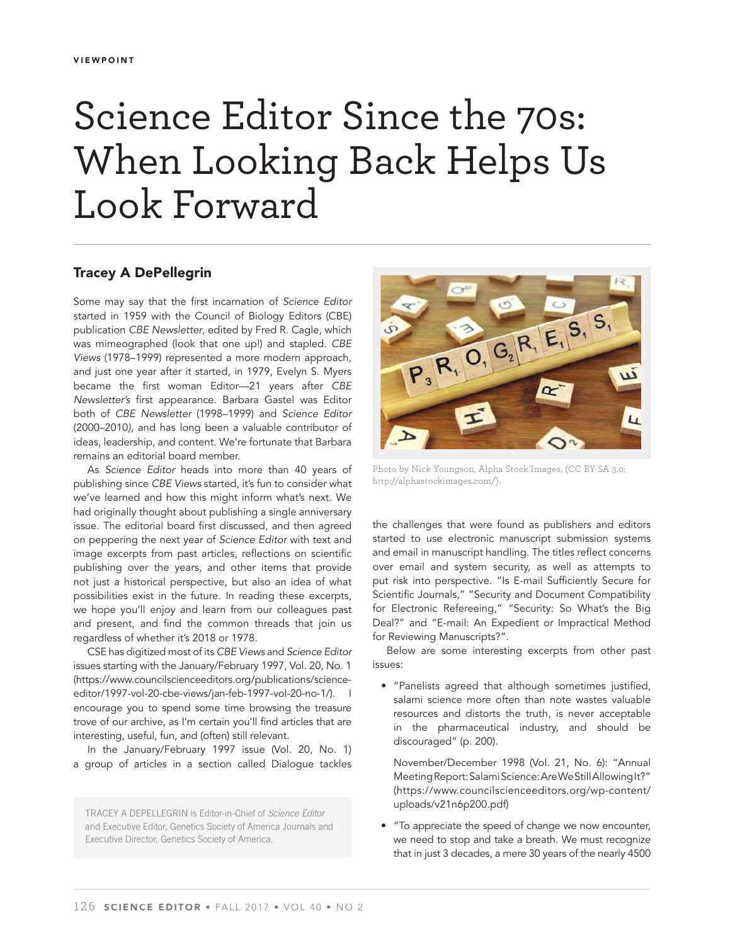## Science Editor Since the 70s: When Looking Back Helps Us Look Forward

## **Tracey A DePellegrin**

Some may say that the first incarnation of Science Editor started in 1959 with the Council of Biology Editors (CBE) publication CBE Newsletter, edited by Fred R. Cagle, which was mimeographed (look that one up!) and stapled. CBE Views (1978–1999) represented a more modern approach, and just one year after it started, in 1979, Evelyn S. Myers became the first woman Editor-21 years after CBE Newsletter's first appearance. Barbara Gastel was Editor both of CBE Newsletter (1998–1999) and Science Editor (2000–2010), and has long been a valuable contributor of ideas, leadership, and content. We're fortunate that Barbara remains an editorial board member.

As Science Editor heads into more than 40 years of publishing since CBE Views started, it's fun to consider what we've learned and how this might inform what's next. We had originally thought about publishing a single anniversary issue. The editorial board first discussed, and then agreed on peppering the next year of Science Editor with text and image excerpts from past articles, reflections on scientific publishing over the years, and other items that provide not just a historical perspective, but also an idea of what possibilities exist in the future. In reading these excerpts, we hope you'll enjoy and learn from our colleagues past and present, and find the common threads that join us regardless of whether it's 2018 or 1978.

CSE has digitized most of its CBE Views and Science Editor issues starting with the January/February 1997, Vol. 20, No. 1 (https://www.councilscienceeditors.org/publications/scienceeditor/1997-vol-20-cbe-views/jan-feb-1997-vol-20-no-1/). | encourage you to spend some time browsing the treasure trove of our archive, as I'm certain you'll find articles that are interesting, useful, fun, and (often) still relevant.

In the January/February 1997 issue (Vol. 20, No. 1) a group of articles in a section called Dialogue tackles

TRACEY A DEPELLEGRIN is Editor-in-Chief of *Science Editor* and Executive Editor, Genetics Society of America Journals and Executive Director, Genetics Society of America.



Photo by Nick Youngson, Alpha Stock Images, (CC BY-SA 3.0; http://alphastockimages.com/).

the challenges that were found as publishers and editors started to use electronic manuscript submission systems and email in manuscript handling. The titles reflect concerns over email and system security, as well as attempts to put risk into perspective. "Is E-mail Sufficiently Secure for Scientific Journals," "Security and Document Compatibility for Electronic Refereeing," "Security: So What's the Big Deal?" and "E-mail: An Expedient or Impractical Method for Reviewing Manuscripts?".

Below are some interesting excerpts from other past issues:

• "Panelists agreed that although sometimes justified, salami science more often than note wastes valuable resources and distorts the truth, is never acceptable in the pharmaceutical industry, and should be discouraged" (p. 200).

November/December 1998 (Vol. 21, No. 6): "Annual Meeting Report: Salami Science: Are We Still Allowing It?" (https://www.councilscienceeditors.org/wp-content/ uploads/v21n6p200.pdf)

• "To appreciate the speed of change we now encounter, we need to stop and take a breath. We must recognize that in just 3 decades, a mere 30 years of the nearly 4500